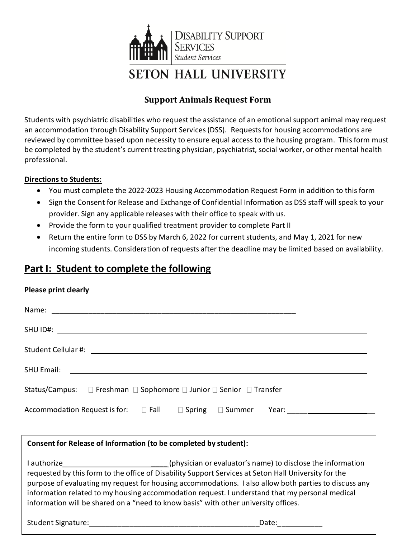

## **SETON HALL UNIVERSITY**

### **Support Animals Request Form**

Students with psychiatric disabilities who request the assistance of an emotional support animal may request an accommodation through Disability Support Services (DSS). Requests for housing accommodations are reviewed by committee based upon necessity to ensure equal access to the housing program. This form must be completed by the student's current treating physician, psychiatrist, social worker, or other mental health professional.

#### **Directions to Students:**

- You must complete the 2022-2023 Housing Accommodation Request Form in addition to this form
- Sign the Consent for Release and Exchange of Confidential Information as DSS staff will speak to your provider. Sign any applicable releases with their office to speak with us.
- Provide the form to your qualified treatment provider to complete Part II
- Return the entire form to DSS by March 6, 2022 for current students, and May 1, 2021 for new incoming students. Consideration of requests after the deadline may be limited based on availability.

### **Part I: Student to complete the following**

| <b>Please print clearly</b>                                                          |
|--------------------------------------------------------------------------------------|
|                                                                                      |
|                                                                                      |
|                                                                                      |
| <b>SHU Email:</b>                                                                    |
| Status/Campus: □ Freshman □ Sophomore □ Junior □ Senior □ Transfer                   |
| Accommodation Request is for: $\square$ Fall $\square$ Spring $\square$ Summer Year: |

### **Consent for Release of Information (to be completed by student):**

I authorize **I** authorize **Exercise 20** (physician or evaluator's name) to disclose the information requested by this form to the office of Disability Support Services at Seton Hall University for the purpose of evaluating my request for housing accommodations. I also allow both parties to discuss any information related to my housing accommodation request. I understand that my personal medical information will be shared on a "need to know basis" with other university offices.

Student Signature: etc. All the student Signature: the student Signature: the student Signature: the student  $\mathbf{D}$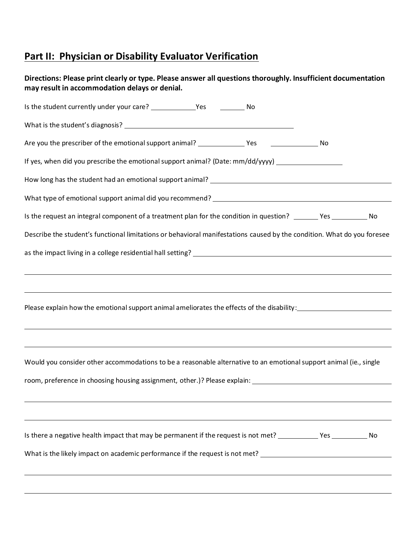## **Part II: Physician or Disability Evaluator Verification**

#### **Directions: Please print clearly or type. Please answer all questions thoroughly. Insufficient documentation may result in accommodation delays or denial.**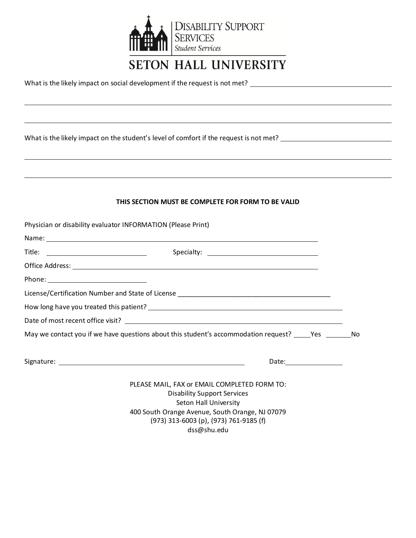

# **SETON HALL UNIVERSITY**

What is the likely impact on social development if the request is not met? \_\_\_\_\_\_\_\_\_\_\_\_\_\_\_\_\_\_\_\_\_\_\_\_\_\_\_\_\_\_\_\_\_\_\_

What is the likely impact on the student's level of comfort if the request is not met? \_\_\_\_\_\_\_\_\_\_\_\_\_\_\_\_\_\_\_\_\_\_\_\_\_\_\_\_\_

#### **THIS SECTION MUST BE COMPLETE FOR FORM TO BE VALID**

| Physician or disability evaluator INFORMATION (Please Print) |                                                                                                                                                                                                                                      |  |
|--------------------------------------------------------------|--------------------------------------------------------------------------------------------------------------------------------------------------------------------------------------------------------------------------------------|--|
|                                                              | Name: <u>the community of the community of the community of the community of the community of the community of the community of the community of the community of the community of the community of the community of the communi</u> |  |
|                                                              |                                                                                                                                                                                                                                      |  |
|                                                              |                                                                                                                                                                                                                                      |  |
|                                                              |                                                                                                                                                                                                                                      |  |
|                                                              |                                                                                                                                                                                                                                      |  |
|                                                              |                                                                                                                                                                                                                                      |  |
|                                                              |                                                                                                                                                                                                                                      |  |
|                                                              | May we contact you if we have questions about this student's accommodation request? _____Yes __________No                                                                                                                            |  |
|                                                              | Date: the contract of the contract of the contract of the contract of the contract of the contract of the contract of the contract of the contract of the contract of the contract of the contract of the contract of the cont       |  |
|                                                              | PLEASE MAIL, FAX or EMAIL COMPLETED FORM TO:<br><b>Disability Support Services</b><br>Seton Hall University<br>400 South Orange Avenue, South Orange, NJ 07079<br>(973) 313-6003 (p), (973) 761-9185 (f)<br>dss@shu.edu              |  |